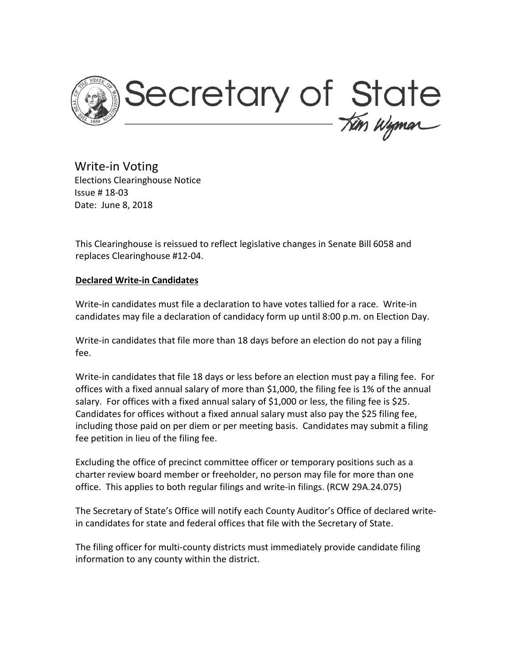

Write-in Voting Elections Clearinghouse Notice Issue # 18-03 Date: June 8, 2018

This Clearinghouse is reissued to reflect legislative changes in Senate Bill 6058 and replaces Clearinghouse #12-04.

# **Declared Write-in Candidates**

Write-in candidates must file a declaration to have votes tallied for a race. Write-in candidates may file a declaration of candidacy form up until 8:00 p.m. on Election Day.

Write-in candidates that file more than 18 days before an election do not pay a filing fee.

Write-in candidates that file 18 days or less before an election must pay a filing fee. For offices with a fixed annual salary of more than \$1,000, the filing fee is 1% of the annual salary. For offices with a fixed annual salary of \$1,000 or less, the filing fee is \$25. Candidates for offices without a fixed annual salary must also pay the \$25 filing fee, including those paid on per diem or per meeting basis. Candidates may submit a filing fee petition in lieu of the filing fee.

Excluding the office of precinct committee officer or temporary positions such as a charter review board member or freeholder, no person may file for more than one office. This applies to both regular filings and write-in filings. (RCW 29A.24.075)

The Secretary of State's Office will notify each County Auditor's Office of declared writein candidates for state and federal offices that file with the Secretary of State.

The filing officer for multi-county districts must immediately provide candidate filing information to any county within the district.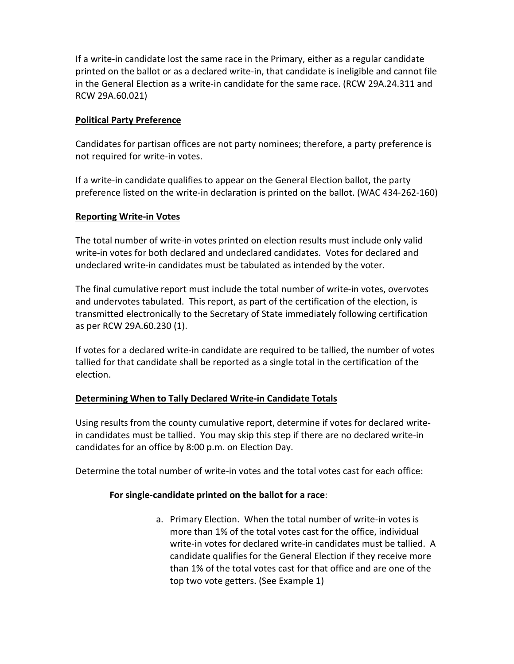If a write-in candidate lost the same race in the Primary, either as a regular candidate printed on the ballot or as a declared write-in, that candidate is ineligible and cannot file in the General Election as a write-in candidate for the same race. (RCW 29A.24.311 and RCW 29A.60.021)

# **Political Party Preference**

Candidates for partisan offices are not party nominees; therefore, a party preference is not required for write-in votes.

If a write-in candidate qualifies to appear on the General Election ballot, the party preference listed on the write-in declaration is printed on the ballot. (WAC 434-262-160)

### **Reporting Write-in Votes**

The total number of write-in votes printed on election results must include only valid write-in votes for both declared and undeclared candidates. Votes for declared and undeclared write-in candidates must be tabulated as intended by the voter.

The final cumulative report must include the total number of write-in votes, overvotes and undervotes tabulated. This report, as part of the certification of the election, is transmitted electronically to the Secretary of State immediately following certification as per RCW 29A.60.230 (1).

If votes for a declared write-in candidate are required to be tallied, the number of votes tallied for that candidate shall be reported as a single total in the certification of the election.

# **Determining When to Tally Declared Write-in Candidate Totals**

Using results from the county cumulative report, determine if votes for declared writein candidates must be tallied. You may skip this step if there are no declared write-in candidates for an office by 8:00 p.m. on Election Day.

Determine the total number of write-in votes and the total votes cast for each office:

#### **For single-candidate printed on the ballot for a race**:

a. Primary Election. When the total number of write-in votes is more than 1% of the total votes cast for the office, individual write-in votes for declared write-in candidates must be tallied. A candidate qualifies for the General Election if they receive more than 1% of the total votes cast for that office and are one of the top two vote getters. (See Example 1)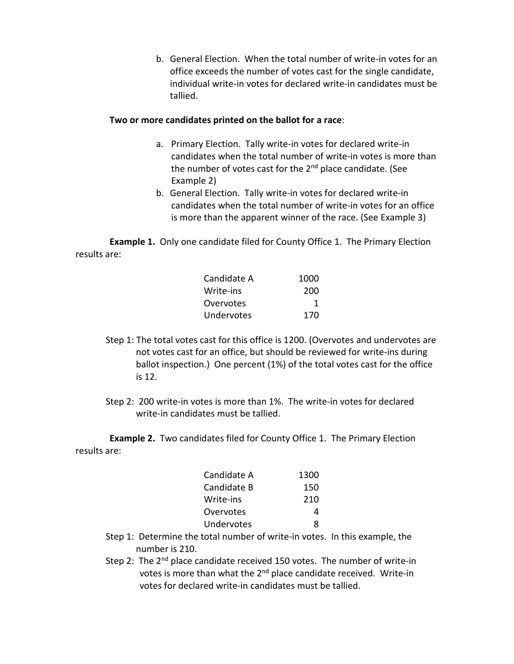b. General Election. When the total number of write-in votes for an office exceeds the number of votes cast for the single candidate, individual write-in votes for declared write-in candidates must be tallied.

### **Two or more candidates printed on the ballot for a race**:

- a. Primary Election. Tally write-in votes for declared write-in candidates when the total number of write-in votes is more than the number of votes cast for the  $2<sup>nd</sup>$  place candidate. (See Example 2)
- b. General Election. Tally write-in votes for declared write-in candidates when the total number of write-in votes for an office is more than the apparent winner of the race. (See Example 3)

**Example 1.** Only one candidate filed for County Office 1. The Primary Election results are:

| Candidate A | 1000 |
|-------------|------|
| Write-ins   | 200  |
| Overvotes   | 1    |
| Undervotes  | 170  |

- Step 1: The total votes cast for this office is 1200. (Overvotes and undervotes are not votes cast for an office, but should be reviewed for write-ins during ballot inspection.) One percent (1%) of the total votes cast for the office is 12.
- Step 2: 200 write-in votes is more than 1%. The write-in votes for declared write-in candidates must be tallied.

**Example 2.** Two candidates filed for County Office 1. The Primary Election results are:

| Candidate A | 1300 |
|-------------|------|
| Candidate B | 150  |
| Write-ins   | 210  |
| Overvotes   | 4    |
| Undervotes  | Ջ    |
|             |      |

- Step 1: Determine the total number of write-in votes. In this example, the number is 210.
- Step 2: The  $2^{nd}$  place candidate received 150 votes. The number of write-in votes is more than what the  $2^{nd}$  place candidate received. Write-in votes for declared write-in candidates must be tallied.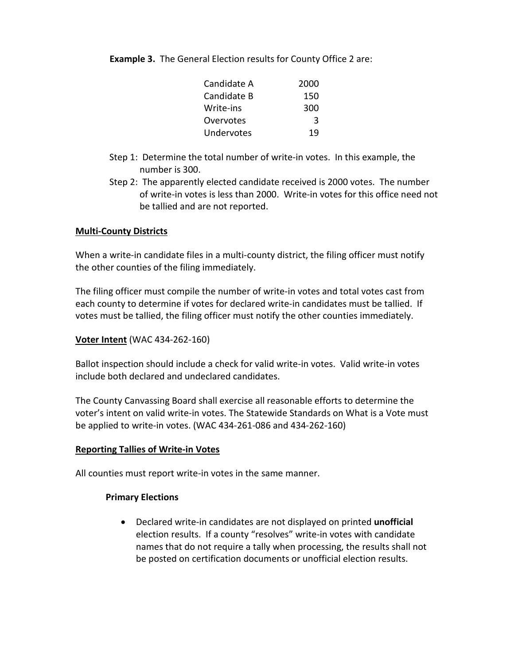**Example 3.** The General Election results for County Office 2 are:

| Candidate A | 2000 |
|-------------|------|
| Candidate B | 150  |
| Write-ins   | 300  |
| Overvotes   | २    |
| Undervotes  | 19   |

- Step 1: Determine the total number of write-in votes. In this example, the number is 300.
- Step 2: The apparently elected candidate received is 2000 votes. The number of write-in votes is less than 2000. Write-in votes for this office need not be tallied and are not reported.

### **Multi-County Districts**

When a write-in candidate files in a multi-county district, the filing officer must notify the other counties of the filing immediately.

The filing officer must compile the number of write-in votes and total votes cast from each county to determine if votes for declared write-in candidates must be tallied. If votes must be tallied, the filing officer must notify the other counties immediately.

#### **Voter Intent** (WAC 434-262-160)

Ballot inspection should include a check for valid write-in votes. Valid write-in votes include both declared and undeclared candidates.

The County Canvassing Board shall exercise all reasonable efforts to determine the voter's intent on valid write-in votes. The Statewide Standards on What is a Vote must be applied to write-in votes. (WAC 434-261-086 and 434-262-160)

#### **Reporting Tallies of Write-in Votes**

All counties must report write-in votes in the same manner.

# **Primary Elections**

• Declared write-in candidates are not displayed on printed **unofficial** election results. If a county "resolves" write-in votes with candidate names that do not require a tally when processing, the results shall not be posted on certification documents or unofficial election results.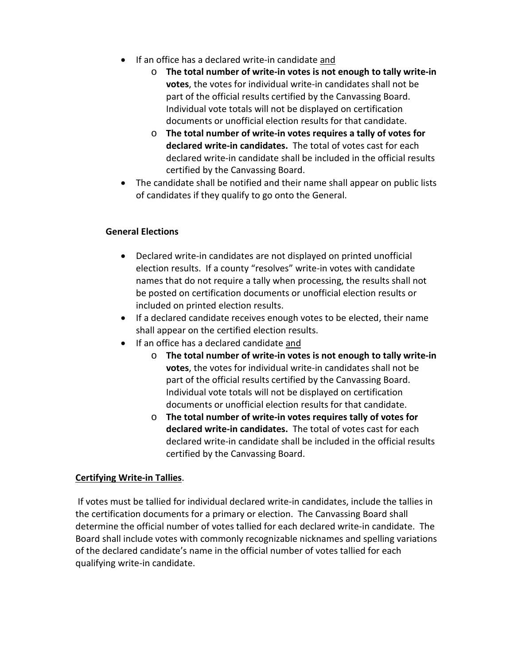- If an office has a declared write-in candidate and
	- o **The total number of write-in votes is not enough to tally write-in votes**, the votes for individual write-in candidates shall not be part of the official results certified by the Canvassing Board. Individual vote totals will not be displayed on certification documents or unofficial election results for that candidate.
	- o **The total number of write-in votes requires a tally of votes for declared write-in candidates.** The total of votes cast for each declared write-in candidate shall be included in the official results certified by the Canvassing Board.
- The candidate shall be notified and their name shall appear on public lists of candidates if they qualify to go onto the General.

# **General Elections**

- Declared write-in candidates are not displayed on printed unofficial election results. If a county "resolves" write-in votes with candidate names that do not require a tally when processing, the results shall not be posted on certification documents or unofficial election results or included on printed election results.
- If a declared candidate receives enough votes to be elected, their name shall appear on the certified election results.
- If an office has a declared candidate and
	- o **The total number of write-in votes is not enough to tally write-in votes**, the votes for individual write-in candidates shall not be part of the official results certified by the Canvassing Board. Individual vote totals will not be displayed on certification documents or unofficial election results for that candidate.
	- o **The total number of write-in votes requires tally of votes for declared write-in candidates.** The total of votes cast for each declared write-in candidate shall be included in the official results certified by the Canvassing Board.

# **Certifying Write-in Tallies**.

If votes must be tallied for individual declared write-in candidates, include the tallies in the certification documents for a primary or election. The Canvassing Board shall determine the official number of votes tallied for each declared write-in candidate. The Board shall include votes with commonly recognizable nicknames and spelling variations of the declared candidate's name in the official number of votes tallied for each qualifying write-in candidate.